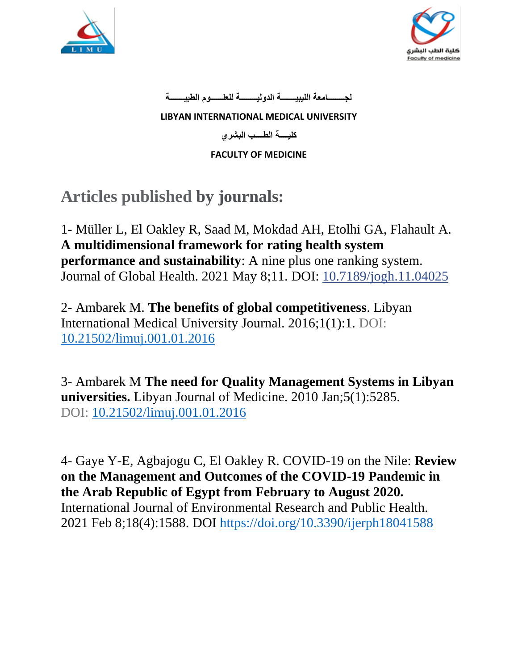



**لجــــــــامعة الليبيـــــــة الدوليــــــــة للعلــــــوم الطبيـــــــة** 

**LIBYAN INTERNATIONAL MEDICAL UNIVERSITY**

**كليــــة الطــــب البشري** 

## **FACULTY OF MEDICINE**

## **Articles published by journals:**

1- Müller L, El Oakley R, Saad M, Mokdad AH, Etolhi GA, Flahault A. **A multidimensional framework for rating health system performance and sustainability**: A nine plus one ranking system. Journal of Global Health. 2021 May 8;11. DOI: [10.7189/jogh.11.04025](https://dx.doi.org/10.7189%2Fjogh.11.04025)

2- Ambarek M. **The benefits of global competitiveness**. Libyan International Medical University Journal. 2016;1(1):1. DOI: [10.21502/limuj.001.01.2016](http://dx.doi.org/10.21502/limuj.001.01.2016)

3- Ambarek M **The need for Quality Management Systems in Libyan universities.** Libyan Journal of Medicine. 2010 Jan;5(1):5285. DOI: [10.21502/limuj.001.01.2016](http://dx.doi.org/10.21502/limuj.001.01.2016)

4- Gaye Y-E, Agbajogu C, El Oakley R. COVID-19 on the Nile: **Review on the Management and Outcomes of the COVID-19 Pandemic in the Arab Republic of Egypt from February to August 2020.** International Journal of Environmental Research and Public Health. 2021 Feb 8;18(4):1588. DOI <https://doi.org/10.3390/ijerph18041588>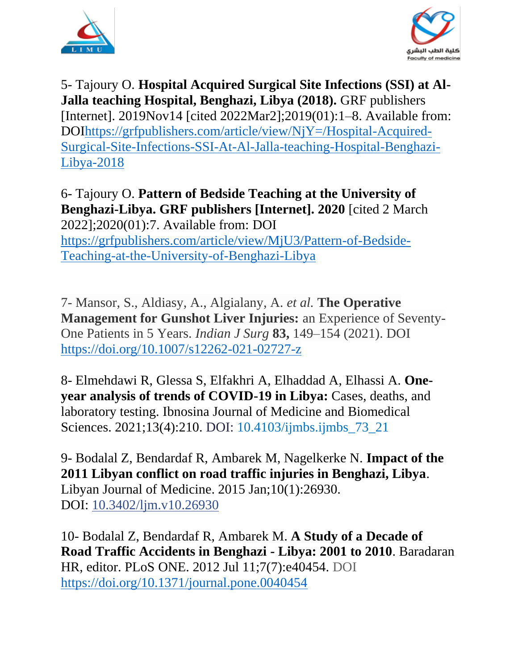



5- Tajoury O. **Hospital Acquired Surgical Site Infections (SSI) at Al-Jalla teaching Hospital, Benghazi, Libya (2018).** GRF publishers [Internet]. 2019Nov14 [cited 2022Mar2];2019(01):1–8. Available from: DO[Ihttps://grfpublishers.com/article/view/NjY=/Hospital-Acquired-](https://grfpublishers.com/article/view/NjY=/Hospital-Acquired-Surgical-Site-Infections-SSI-At-Al-Jalla-teaching-Hospital-Benghazi-Libya-2018)[Surgical-Site-Infections-SSI-At-Al-Jalla-teaching-Hospital-Benghazi-](https://grfpublishers.com/article/view/NjY=/Hospital-Acquired-Surgical-Site-Infections-SSI-At-Al-Jalla-teaching-Hospital-Benghazi-Libya-2018)[Libya-2018](https://grfpublishers.com/article/view/NjY=/Hospital-Acquired-Surgical-Site-Infections-SSI-At-Al-Jalla-teaching-Hospital-Benghazi-Libya-2018)

6- Tajoury O. **Pattern of Bedside Teaching at the University of Benghazi-Libya. GRF publishers [Internet]. 2020** [cited 2 March 2022];2020(01):7. Available from: DOI [https://grfpublishers.com/article/view/MjU3/Pattern-of-Bedside-](https://grfpublishers.com/article/view/MjU3/Pattern-of-Bedside-Teaching-at-the-University-of-Benghazi-Libya)[Teaching-at-the-University-of-Benghazi-Libya](https://grfpublishers.com/article/view/MjU3/Pattern-of-Bedside-Teaching-at-the-University-of-Benghazi-Libya)

7- Mansor, S., Aldiasy, A., Algialany, A. *et al.* **The Operative Management for Gunshot Liver Injuries:** an Experience of Seventy-One Patients in 5 Years. *Indian J Surg* **83,** 149–154 (2021). DOI <https://doi.org/10.1007/s12262-021-02727-z>

8- Elmehdawi R, Glessa S, Elfakhri A, Elhaddad A, Elhassi A. **Oneyear analysis of trends of COVID-19 in Libya: Cases, deaths, and**  $\blacksquare$ laboratory testing. Ibnosina Journal of Medicine and Biomedical Sciences. 2021;13(4):210. DOI: 10.4103/ijmbs.ijmbs 73 21

9- Bodalal Z, Bendardaf R, Ambarek M, Nagelkerke N. **Impact of the 2011 Libyan conflict on road traffic injuries in Benghazi, Libya**. Libyan Journal of Medicine. 2015 Jan;10(1):26930. DOI: [10.3402/ljm.v10.26930](https://dx.doi.org/10.3402%2Fljm.v10.26930)

10- Bodalal Z, Bendardaf R, Ambarek M. **A Study of a Decade of Road Traffic Accidents in Benghazi - Libya: 2001 to 2010**. Baradaran HR, editor. PLoS ONE. 2012 Jul 11;7(7):e40454. DOI <https://doi.org/10.1371/journal.pone.0040454>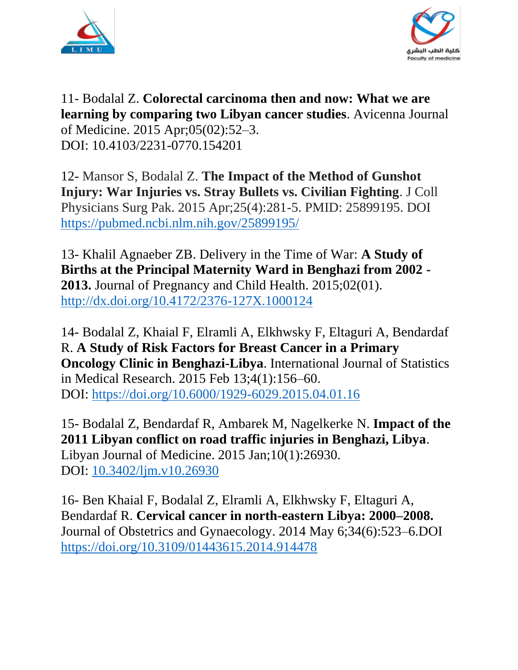



11- Bodalal Z. **Colorectal carcinoma then and now: What we are learning by comparing two Libyan cancer studies**. Avicenna Journal of Medicine. 2015 Apr;05(02):52–3. DOI: 10.4103/2231-0770.154201

12- Mansor S, Bodalal Z. **The Impact of the Method of Gunshot Injury: War Injuries vs. Stray Bullets vs. Civilian Fighting**. J Coll Physicians Surg Pak. 2015 Apr;25(4):281-5. PMID: 25899195. DOI <https://pubmed.ncbi.nlm.nih.gov/25899195/>

13- Khalil Agnaeber ZB. Delivery in the Time of War: **A Study of Births at the Principal Maternity Ward in Benghazi from 2002 - 2013.** Journal of Pregnancy and Child Health. 2015;02(01). <http://dx.doi.org/10.4172/2376-127X.1000124>

14- Bodalal Z, Khaial F, Elramli A, Elkhwsky F, Eltaguri A, Bendardaf R. **A Study of Risk Factors for Breast Cancer in a Primary Oncology Clinic in Benghazi-Libya**. International Journal of Statistics in Medical Research. 2015 Feb 13;4(1):156–60. DOI: <https://doi.org/10.6000/1929-6029.2015.04.01.16>

15- Bodalal Z, Bendardaf R, Ambarek M, Nagelkerke N. **Impact of the 2011 Libyan conflict on road traffic injuries in Benghazi, Libya**. Libyan Journal of Medicine. 2015 Jan;10(1):26930. DOI: [10.3402/ljm.v10.26930](https://doi.org/10.3402/ljm.v10.26930)

16- Ben Khaial F, Bodalal Z, Elramli A, Elkhwsky F, Eltaguri A, Bendardaf R. **Cervical cancer in north-eastern Libya: 2000–2008.** Journal of Obstetrics and Gynaecology. 2014 May 6;34(6):523–6.DOI <https://doi.org/10.3109/01443615.2014.914478>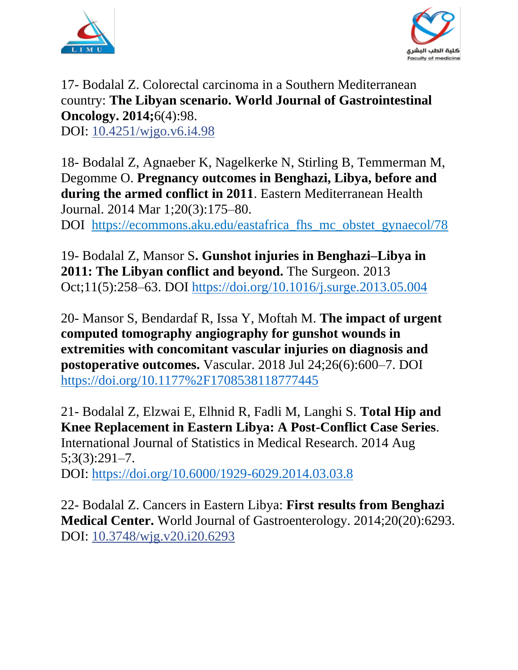



17- Bodalal Z. Colorectal carcinoma in a Southern Mediterranean country: **The Libyan scenario. World Journal of Gastrointestinal Oncology. 2014;**6(4):98. DOI: [10.4251/wjgo.v6.i4.98](https://dx.doi.org/10.4251%2Fwjgo.v6.i4.98)

18- Bodalal Z, Agnaeber K, Nagelkerke N, Stirling B, Temmerman M, Degomme O. **Pregnancy outcomes in Benghazi, Libya, before and during the armed conflict in 2011**. Eastern Mediterranean Health Journal. 2014 Mar 1;20(3):175–80.

DOI [https://ecommons.aku.edu/eastafrica\\_fhs\\_mc\\_obstet\\_gynaecol/78](https://ecommons.aku.edu/eastafrica_fhs_mc_obstet_gynaecol/78)

19- Bodalal Z, Mansor S**. Gunshot injuries in Benghazi–Libya in 2011: The Libyan conflict and beyond.** The Surgeon. 2013 Oct;11(5):258–63. DOI<https://doi.org/10.1016/j.surge.2013.05.004>

20- Mansor S, Bendardaf R, Issa Y, Moftah M. **The impact of urgent computed tomography angiography for gunshot wounds in extremities with concomitant vascular injuries on diagnosis and postoperative outcomes.** Vascular. 2018 Jul 24;26(6):600–7. DOI <https://doi.org/10.1177%2F1708538118777445>

21- Bodalal Z, Elzwai E, Elhnid R, Fadli M, Langhi S. **Total Hip and Knee Replacement in Eastern Libya: A Post-Conflict Case Series**. International Journal of Statistics in Medical Research. 2014 Aug 5;3(3):291–7. DOI: <https://doi.org/10.6000/1929-6029.2014.03.03.8>

22- Bodalal Z. Cancers in Eastern Libya: **First results from Benghazi Medical Center.** World Journal of Gastroenterology. 2014;20(20):6293. DOI: [10.3748/wjg.v20.i20.6293](https://dx.doi.org/10.3748%2Fwjg.v20.i20.6293)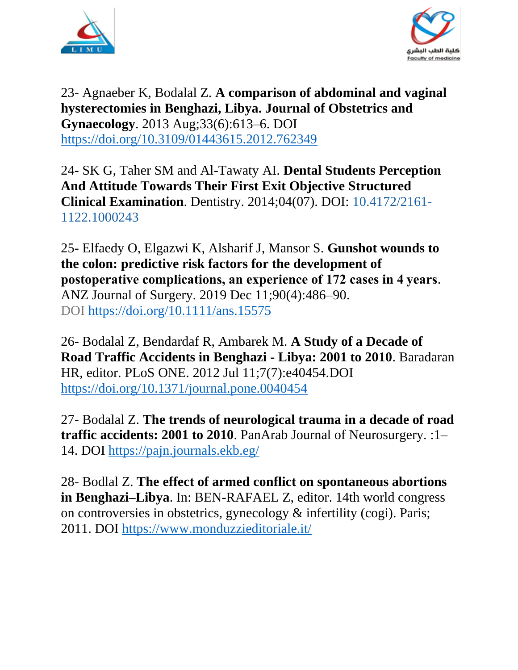



23- Agnaeber K, Bodalal Z. **A comparison of abdominal and vaginal hysterectomies in Benghazi, Libya. Journal of Obstetrics and Gynaecology**. 2013 Aug;33(6):613–6. DOI <https://doi.org/10.3109/01443615.2012.762349>

24- SK G, Taher SM and Al-Tawaty AI. **Dental Students Perception And Attitude Towards Their First Exit Objective Structured Clinical Examination**. Dentistry. 2014;04(07). DOI: 10.4172/2161- 1122.1000243

25- Elfaedy O, Elgazwi K, Alsharif J, Mansor S. **Gunshot wounds to the colon: predictive risk factors for the development of postoperative complications, an experience of 172 cases in 4 years**. ANZ Journal of Surgery. 2019 Dec 11;90(4):486–90. DOI<https://doi.org/10.1111/ans.15575>

26- Bodalal Z, Bendardaf R, Ambarek M. **A Study of a Decade of Road Traffic Accidents in Benghazi - Libya: 2001 to 2010**. Baradaran HR, editor. PLoS ONE. 2012 Jul 11;7(7):e40454.DOI <https://doi.org/10.1371/journal.pone.0040454>

27- Bodalal Z. **The trends of neurological trauma in a decade of road traffic accidents: 2001 to 2010**. PanArab Journal of Neurosurgery. :1– 14. DOI<https://pajn.journals.ekb.eg/>

28- Bodlal Z. **The effect of armed conflict on spontaneous abortions in Benghazi–Libya**. In: BEN-RAFAEL Z, editor. 14th world congress on controversies in obstetrics, gynecology & infertility (cogi). Paris; 2011. DOI<https://www.monduzzieditoriale.it/>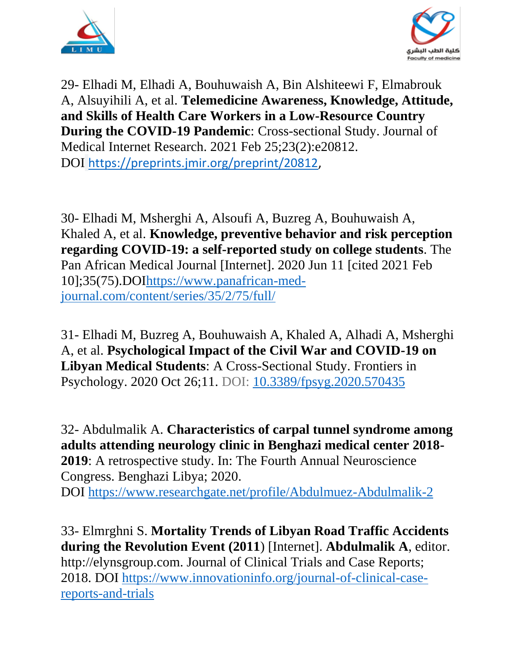



29- Elhadi M, Elhadi A, Bouhuwaish A, Bin Alshiteewi F, Elmabrouk A, Alsuyihili A, et al. **Telemedicine Awareness, Knowledge, Attitude, and Skills of Health Care Workers in a Low-Resource Country During the COVID-19 Pandemic**: Cross-sectional Study. Journal of Medical Internet Research. 2021 Feb 25;23(2):e20812. DOI [https://preprints.jmir.org/preprint/20812,](https://preprints.jmir.org/preprint/20812?__hstc=102212634.6895f3ca8a49a69e78b26ed99714ab00.1646403022685.1646403022685.1646403022685.1&__hssc=102212634.1.1646403022685&__hsfp=3955310316)

30- Elhadi M, Msherghi A, Alsoufi A, Buzreg A, Bouhuwaish A, Khaled A, et al. **Knowledge, preventive behavior and risk perception regarding COVID-19: a self-reported study on college students**. The Pan African Medical Journal [Internet]. 2020 Jun 11 [cited 2021 Feb 10];35(75).DO[Ihttps://www.panafrican-med](https://www.panafrican-med-journal.com/content/series/35/2/75/full/)[journal.com/content/series/35/2/75/full/](https://www.panafrican-med-journal.com/content/series/35/2/75/full/)

31- Elhadi M, Buzreg A, Bouhuwaish A, Khaled A, Alhadi A, Msherghi A, et al. **Psychological Impact of the Civil War and COVID-19 on Libyan Medical Students**: A Cross-Sectional Study. Frontiers in Psychology. 2020 Oct 26;11. DOI: [10.3389/fpsyg.2020.570435](http://dx.doi.org/10.3389/fpsyg.2020.570435)

32- Abdulmalik A. **Characteristics of carpal tunnel syndrome among adults attending neurology clinic in Benghazi medical center 2018- 2019**: A retrospective study. In: The Fourth Annual Neuroscience Congress. Benghazi Libya; 2020. DOI<https://www.researchgate.net/profile/Abdulmuez-Abdulmalik-2>

33- Elmrghni S. **Mortality Trends of Libyan Road Traffic Accidents during the Revolution Event (2011**) [Internet]. **Abdulmalik A**, editor. http://elynsgroup.com. Journal of Clinical Trials and Case Reports; 2018. DOI [https://www.innovationinfo.org/journal-of-clinical-case](https://www.innovationinfo.org/journal-of-clinical-case-reports-and-trials)[reports-and-trials](https://www.innovationinfo.org/journal-of-clinical-case-reports-and-trials)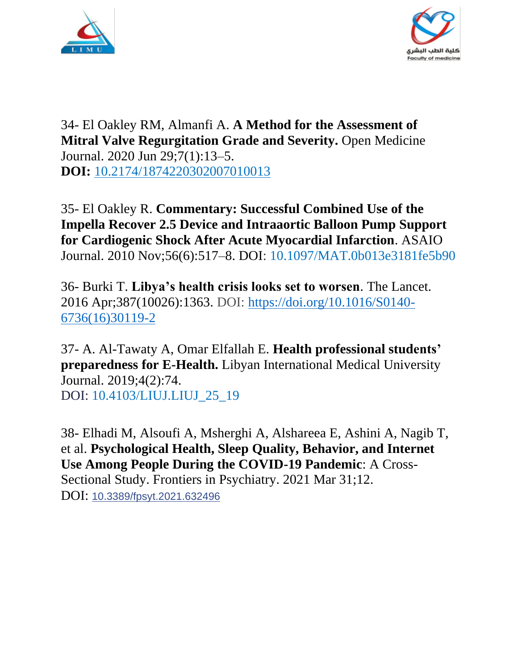



34- El Oakley RM, Almanfi A. **A Method for the Assessment of Mitral Valve Regurgitation Grade and Severity.** Open Medicine Journal. 2020 Jun 29;7(1):13–5. **DOI:** [10.2174/1874220302007010013](http://dx.doi.org/10.2174/1874220302007010013)

35- El Oakley R. **Commentary: Successful Combined Use of the Impella Recover 2.5 Device and Intraaortic Balloon Pump Support for Cardiogenic Shock After Acute Myocardial Infarction**. ASAIO Journal. 2010 Nov;56(6):517–8. DOI: 10.1097/MAT.0b013e3181fe5b90

36- Burki T. **Libya's health crisis looks set to worsen**. The Lancet. 2016 Apr;387(10026):1363. DOI: [https://doi.org/10.1016/S0140-](https://doi.org/10.1016/S0140-6736(16)30119-2) [6736\(16\)30119-2](https://doi.org/10.1016/S0140-6736(16)30119-2)

37- A. Al-Tawaty A, Omar Elfallah E. **Health professional students' preparedness for E-Health.** Libyan International Medical University Journal. 2019;4(2):74. DOI: 10.4103/LIUJ.LIUJ\_25\_19

38- Elhadi M, Alsoufi A, Msherghi A, Alshareea E, Ashini A, Nagib T, et al. **Psychological Health, Sleep Quality, Behavior, and Internet Use Among People During the COVID-19 Pandemic**: A Cross-Sectional Study. Frontiers in Psychiatry. 2021 Mar 31;12. DOI: [10.3389/fpsyt.2021.632496](https://dx.doi.org/10.3389%2Ffpsyt.2021.632496)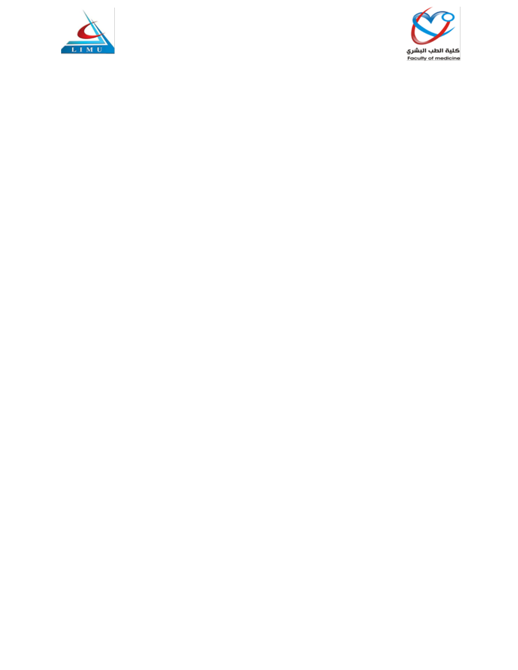